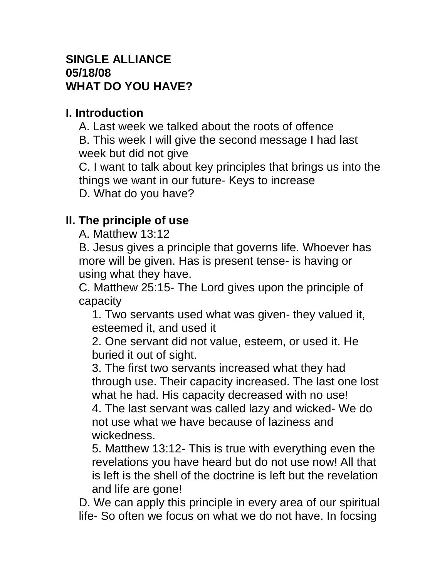### **SINGLE ALLIANCE 05/18/08 WHAT DO YOU HAVE?**

## **I. Introduction**

A. Last week we talked about the roots of offence B. This week I will give the second message I had last

week but did not give

C. I want to talk about key principles that brings us into the things we want in our future- Keys to increase D. What do you have?

# **II. The principle of use**

A. Matthew 13:12

B. Jesus gives a principle that governs life. Whoever has more will be given. Has is present tense- is having or using what they have.

C. Matthew 25:15- The Lord gives upon the principle of capacity

1. Two servants used what was given- they valued it, esteemed it, and used it

2. One servant did not value, esteem, or used it. He buried it out of sight.

3. The first two servants increased what they had through use. Their capacity increased. The last one lost what he had. His capacity decreased with no use!

4. The last servant was called lazy and wicked- We do not use what we have because of laziness and wickedness.

5. Matthew 13:12- This is true with everything even the revelations you have heard but do not use now! All that is left is the shell of the doctrine is left but the revelation and life are gone!

D. We can apply this principle in every area of our spiritual life- So often we focus on what we do not have. In focsing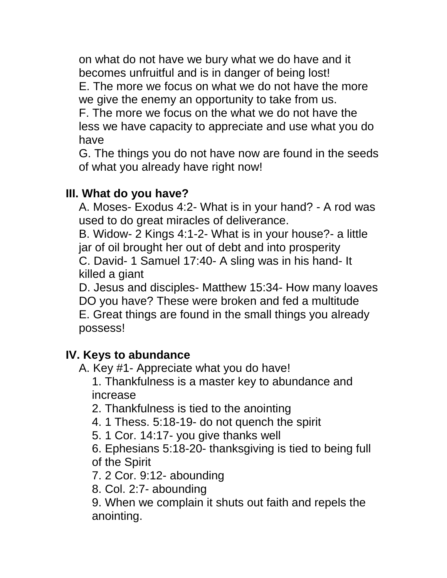on what do not have we bury what we do have and it becomes unfruitful and is in danger of being lost! E. The more we focus on what we do not have the more we give the enemy an opportunity to take from us. F. The more we focus on the what we do not have the less we have capacity to appreciate and use what you do have

G. The things you do not have now are found in the seeds of what you already have right now!

## **III. What do you have?**

A. Moses- Exodus 4:2- What is in your hand? - A rod was used to do great miracles of deliverance.

B. Widow- 2 Kings 4:1-2- What is in your house?- a little jar of oil brought her out of debt and into prosperity C. David- 1 Samuel 17:40- A sling was in his hand- It killed a giant

D. Jesus and disciples- Matthew 15:34- How many loaves DO you have? These were broken and fed a multitude E. Great things are found in the small things you already possess!

#### **IV. Keys to abundance**

A. Key #1- Appreciate what you do have!

1. Thankfulness is a master key to abundance and increase

2. Thankfulness is tied to the anointing

- 4. 1 Thess. 5:18-19- do not quench the spirit
- 5. 1 Cor. 14:17- you give thanks well
- 6. Ephesians 5:18-20- thanksgiving is tied to being full of the Spirit

7. 2 Cor. 9:12- abounding

8. Col. 2:7- abounding

9. When we complain it shuts out faith and repels the anointing.